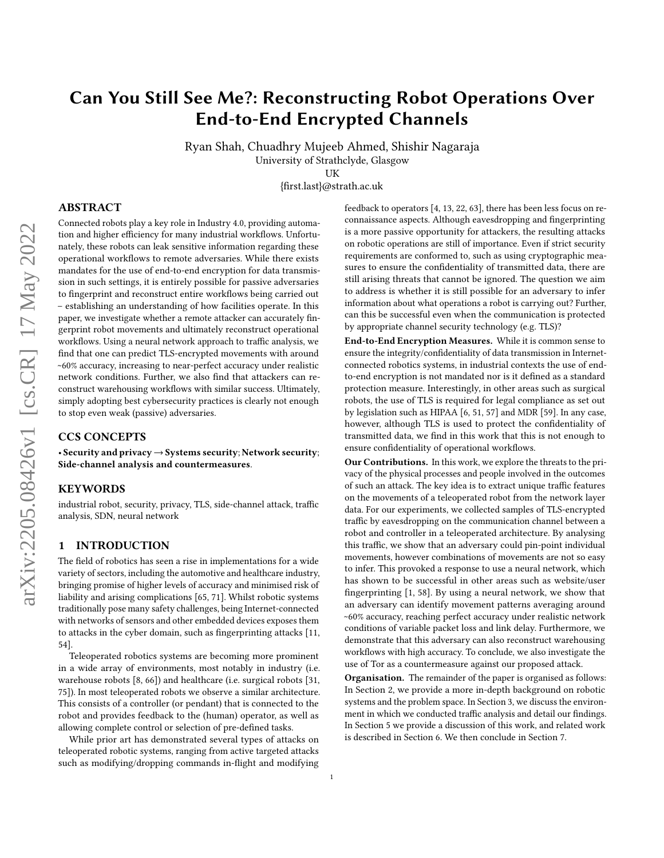# Can You Still See Me?: Reconstructing Robot Operations Over End-to-End Encrypted Channels

Ryan Shah, Chuadhry Mujeeb Ahmed, Shishir Nagaraja University of Strathclyde, Glasgow

UK

{first.last}@strath.ac.uk

# ABSTRACT

Connected robots play a key role in Industry 4.0, providing automation and higher efficiency for many industrial workflows. Unfortunately, these robots can leak sensitive information regarding these operational workflows to remote adversaries. While there exists mandates for the use of end-to-end encryption for data transmission in such settings, it is entirely possible for passive adversaries to fingerprint and reconstruct entire workflows being carried out – establishing an understanding of how facilities operate. In this paper, we investigate whether a remote attacker can accurately fingerprint robot movements and ultimately reconstruct operational workflows. Using a neural network approach to traffic analysis, we find that one can predict TLS-encrypted movements with around ~60% accuracy, increasing to near-perfect accuracy under realistic network conditions. Further, we also find that attackers can reconstruct warehousing workflows with similar success. Ultimately, simply adopting best cybersecurity practices is clearly not enough to stop even weak (passive) adversaries.

### CCS CONCEPTS

• Security and privacy→Systems security; Network security; Side-channel analysis and countermeasures.

#### **KEYWORDS**

industrial robot, security, privacy, TLS, side-channel attack, traffic analysis, SDN, neural network

#### 1 INTRODUCTION

The field of robotics has seen a rise in implementations for a wide variety of sectors, including the automotive and healthcare industry, bringing promise of higher levels of accuracy and minimised risk of liability and arising complications [\[65,](#page-12-0) [71\]](#page-12-1). Whilst robotic systems traditionally pose many safety challenges, being Internet-connected with networks of sensors and other embedded devices exposes them to attacks in the cyber domain, such as fingerprinting attacks [\[11,](#page-11-0) [54\]](#page-12-2).

Teleoperated robotics systems are becoming more prominent in a wide array of environments, most notably in industry (i.e. warehouse robots [\[8,](#page-11-1) [66\]](#page-12-3)) and healthcare (i.e. surgical robots [\[31,](#page-11-2) [75\]](#page-12-4)). In most teleoperated robots we observe a similar architecture. This consists of a controller (or pendant) that is connected to the robot and provides feedback to the (human) operator, as well as allowing complete control or selection of pre-defined tasks.

While prior art has demonstrated several types of attacks on teleoperated robotic systems, ranging from active targeted attacks such as modifying/dropping commands in-flight and modifying feedback to operators [\[4,](#page-11-3) [13,](#page-11-4) [22,](#page-11-5) [63\]](#page-12-5), there has been less focus on reconnaissance aspects. Although eavesdropping and fingerprinting is a more passive opportunity for attackers, the resulting attacks on robotic operations are still of importance. Even if strict security requirements are conformed to, such as using cryptographic measures to ensure the confidentiality of transmitted data, there are still arising threats that cannot be ignored. The question we aim to address is whether it is still possible for an adversary to infer information about what operations a robot is carrying out? Further, can this be successful even when the communication is protected by appropriate channel security technology (e.g. TLS)?

End-to-End Encryption Measures. While it is common sense to ensure the integrity/confidentiality of data transmission in Internetconnected robotics systems, in industrial contexts the use of endto-end encryption is not mandated nor is it defined as a standard protection measure. Interestingly, in other areas such as surgical robots, the use of TLS is required for legal compliance as set out by legislation such as HIPAA [\[6,](#page-11-6) [51,](#page-12-6) [57\]](#page-12-7) and MDR [\[59\]](#page-12-8). In any case, however, although TLS is used to protect the confidentiality of transmitted data, we find in this work that this is not enough to ensure confidentiality of operational workflows.

Our Contributions. In this work, we explore the threats to the privacy of the physical processes and people involved in the outcomes of such an attack. The key idea is to extract unique traffic features on the movements of a teleoperated robot from the network layer data. For our experiments, we collected samples of TLS-encrypted traffic by eavesdropping on the communication channel between a robot and controller in a teleoperated architecture. By analysing this traffic, we show that an adversary could pin-point individual movements, however combinations of movements are not so easy to infer. This provoked a response to use a neural network, which has shown to be successful in other areas such as website/user fingerprinting [\[1,](#page-11-7) [58\]](#page-12-9). By using a neural network, we show that an adversary can identify movement patterns averaging around ~60% accuracy, reaching perfect accuracy under realistic network conditions of variable packet loss and link delay. Furthermore, we demonstrate that this adversary can also reconstruct warehousing workflows with high accuracy. To conclude, we also investigate the use of Tor as a countermeasure against our proposed attack.

Organisation. The remainder of the paper is organised as follows: In Section [2,](#page-1-0) we provide a more in-depth background on robotic systems and the problem space. In Section [3,](#page-1-1) we discuss the environment in which we conducted traffic analysis and detail our findings. In Section [5](#page-7-0) we provide a discussion of this work, and related work is described in Section [6.](#page-10-0) We then conclude in Section [7.](#page-10-1)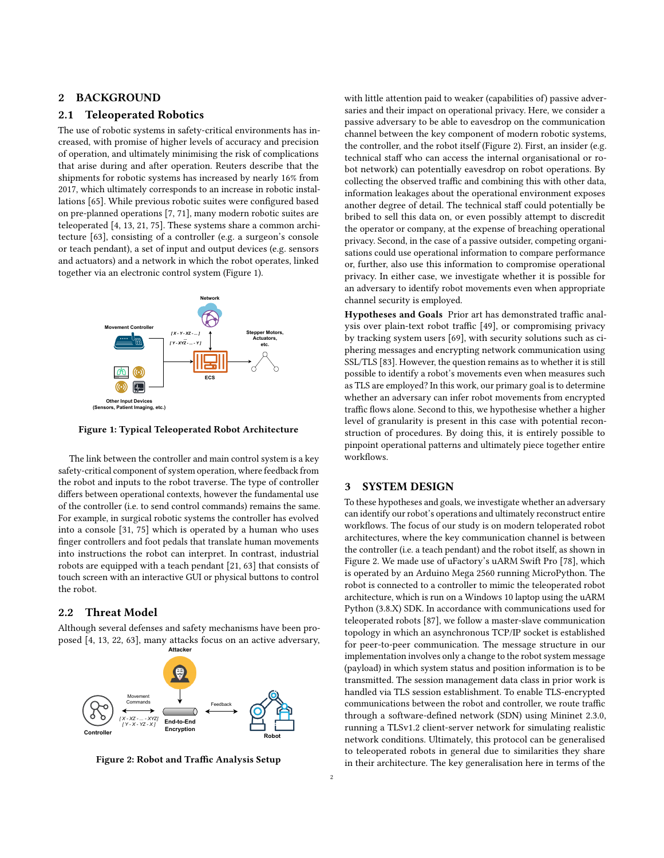### <span id="page-1-0"></span>2 BACKGROUND

### 2.1 Teleoperated Robotics

The use of robotic systems in safety-critical environments has increased, with promise of higher levels of accuracy and precision of operation, and ultimately minimising the risk of complications that arise during and after operation. Reuters describe that the shipments for robotic systems has increased by nearly 16% from 2017, which ultimately corresponds to an increase in robotic installations [\[65\]](#page-12-0). While previous robotic suites were configured based on pre-planned operations [\[7,](#page-11-8) [71\]](#page-12-1), many modern robotic suites are teleoperated [\[4,](#page-11-3) [13,](#page-11-4) [21,](#page-11-9) [75\]](#page-12-4). These systems share a common architecture [\[63\]](#page-12-5), consisting of a controller (e.g. a surgeon's console or teach pendant), a set of input and output devices (e.g. sensors and actuators) and a network in which the robot operates, linked together via an electronic control system (Figure [1\)](#page-1-2).

<span id="page-1-2"></span>

Figure 1: Typical Teleoperated Robot Architecture

The link between the controller and main control system is a key safety-critical component of system operation, where feedback from the robot and inputs to the robot traverse. The type of controller differs between operational contexts, however the fundamental use of the controller (i.e. to send control commands) remains the same. For example, in surgical robotic systems the controller has evolved into a console [\[31,](#page-11-2) [75\]](#page-12-4) which is operated by a human who uses finger controllers and foot pedals that translate human movements into instructions the robot can interpret. In contrast, industrial robots are equipped with a teach pendant [\[21,](#page-11-9) [63\]](#page-12-5) that consists of touch screen with an interactive GUI or physical buttons to control the robot.

# 2.2 Threat Model

Although several defenses and safety mechanisms have been proposed [\[4,](#page-11-3) [13,](#page-11-4) [22,](#page-11-5) [63\]](#page-12-5), many attacks focus on an active adversary,

<span id="page-1-3"></span>

Figure 2: Robot and Traffic Analysis Setup

with little attention paid to weaker (capabilities of) passive adversaries and their impact on operational privacy. Here, we consider a passive adversary to be able to eavesdrop on the communication channel between the key component of modern robotic systems, the controller, and the robot itself (Figure [2\)](#page-1-3). First, an insider (e.g. technical staff who can access the internal organisational or robot network) can potentially eavesdrop on robot operations. By collecting the observed traffic and combining this with other data, information leakages about the operational environment exposes another degree of detail. The technical staff could potentially be bribed to sell this data on, or even possibly attempt to discredit the operator or company, at the expense of breaching operational privacy. Second, in the case of a passive outsider, competing organisations could use operational information to compare performance or, further, also use this information to compromise operational privacy. In either case, we investigate whether it is possible for an adversary to identify robot movements even when appropriate channel security is employed.

Hypotheses and Goals Prior art has demonstrated traffic analysis over plain-text robot traffic [\[49\]](#page-12-10), or compromising privacy by tracking system users [\[69\]](#page-12-11), with security solutions such as ciphering messages and encrypting network communication using SSL/TLS [\[83\]](#page-12-12). However, the question remains as to whether it is still possible to identify a robot's movements even when measures such as TLS are employed? In this work, our primary goal is to determine whether an adversary can infer robot movements from encrypted traffic flows alone. Second to this, we hypothesise whether a higher level of granularity is present in this case with potential reconstruction of procedures. By doing this, it is entirely possible to pinpoint operational patterns and ultimately piece together entire workflows.

#### <span id="page-1-1"></span>3 SYSTEM DESIGN

To these hypotheses and goals, we investigate whether an adversary can identify our robot's operations and ultimately reconstruct entire workflows. The focus of our study is on modern teloperated robot architectures, where the key communication channel is between the controller (i.e. a teach pendant) and the robot itself, as shown in Figure [2.](#page-1-3) We made use of uFactory's uARM Swift Pro [\[78\]](#page-12-13), which is operated by an Arduino Mega 2560 running MicroPython. The robot is connected to a controller to mimic the teleoperated robot architecture, which is run on a Windows 10 laptop using the uARM Python (3.8.X) SDK. In accordance with communications used for teleoperated robots [\[87\]](#page-12-14), we follow a master-slave communication topology in which an asynchronous TCP/IP socket is established for peer-to-peer communication. The message structure in our implementation involves only a change to the robot system message (payload) in which system status and position information is to be transmitted. The session management data class in prior work is handled via TLS session establishment. To enable TLS-encrypted communications between the robot and controller, we route traffic through a software-defined network (SDN) using Mininet 2.3.0, running a TLSv1.2 client-server network for simulating realistic network conditions. Ultimately, this protocol can be generalised to teleoperated robots in general due to similarities they share in their architecture. The key generalisation here in terms of the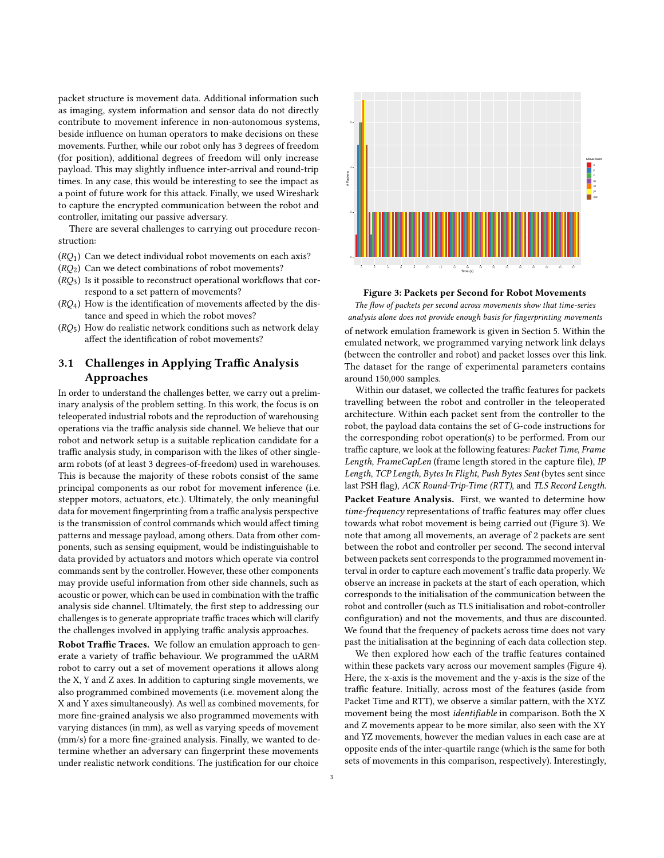packet structure is movement data. Additional information such as imaging, system information and sensor data do not directly contribute to movement inference in non-autonomous systems, beside influence on human operators to make decisions on these movements. Further, while our robot only has 3 degrees of freedom (for position), additional degrees of freedom will only increase payload. This may slightly influence inter-arrival and round-trip times. In any case, this would be interesting to see the impact as a point of future work for this attack. Finally, we used Wireshark to capture the encrypted communication between the robot and controller, imitating our passive adversary.

There are several challenges to carrying out procedure reconstruction:

- $(RQ<sub>1</sub>)$  Can we detect individual robot movements on each axis?
- $(RO<sub>2</sub>)$  Can we detect combinations of robot movements?
- $(RQ<sub>3</sub>)$  Is it possible to reconstruct operational workflows that correspond to a set pattern of movements?
- $(RQ<sub>4</sub>)$  How is the identification of movements affected by the distance and speed in which the robot moves?
- $(RQ<sub>5</sub>)$  How do realistic network conditions such as network delay affect the identification of robot movements?

# <span id="page-2-1"></span>3.1 Challenges in Applying Traffic Analysis Approaches

In order to understand the challenges better, we carry out a preliminary analysis of the problem setting. In this work, the focus is on teleoperated industrial robots and the reproduction of warehousing operations via the traffic analysis side channel. We believe that our robot and network setup is a suitable replication candidate for a traffic analysis study, in comparison with the likes of other singlearm robots (of at least 3 degrees-of-freedom) used in warehouses. This is because the majority of these robots consist of the same principal components as our robot for movement inference (i.e. stepper motors, actuators, etc.). Ultimately, the only meaningful data for movement fingerprinting from a traffic analysis perspective is the transmission of control commands which would affect timing patterns and message payload, among others. Data from other components, such as sensing equipment, would be indistinguishable to data provided by actuators and motors which operate via control commands sent by the controller. However, these other components may provide useful information from other side channels, such as acoustic or power, which can be used in combination with the traffic analysis side channel. Ultimately, the first step to addressing our challenges is to generate appropriate traffic traces which will clarify the challenges involved in applying traffic analysis approaches.

Robot Traffic Traces. We follow an emulation approach to generate a variety of traffic behaviour. We programmed the uARM robot to carry out a set of movement operations it allows along the X, Y and Z axes. In addition to capturing single movements, we also programmed combined movements (i.e. movement along the X and Y axes simultaneously). As well as combined movements, for more fine-grained analysis we also programmed movements with varying distances (in mm), as well as varying speeds of movement (mm/s) for a more fine-grained analysis. Finally, we wanted to determine whether an adversary can fingerprint these movements under realistic network conditions. The justification for our choice

<span id="page-2-0"></span>

Figure 3: Packets per Second for Robot Movements

The flow of packets per second across movements show that time-series analysis alone does not provide enough basis for fingerprinting movements of network emulation framework is given in Section [5.](#page-7-0) Within the emulated network, we programmed varying network link delays (between the controller and robot) and packet losses over this link. The dataset for the range of experimental parameters contains around 150,000 samples.

Within our dataset, we collected the traffic features for packets travelling between the robot and controller in the teleoperated architecture. Within each packet sent from the controller to the robot, the payload data contains the set of G-code instructions for the corresponding robot operation(s) to be performed. From our traffic capture, we look at the following features: Packet Time, Frame Length, FrameCapLen (frame length stored in the capture file), IP Length, TCP Length, Bytes In Flight, Push Bytes Sent (bytes sent since last PSH flag), ACK Round-Trip-Time (RTT), and TLS Record Length.

Packet Feature Analysis. First, we wanted to determine how time-frequency representations of traffic features may offer clues towards what robot movement is being carried out (Figure [3\)](#page-2-0). We note that among all movements, an average of 2 packets are sent between the robot and controller per second. The second interval between packets sent corresponds to the programmed movement interval in order to capture each movement's traffic data properly. We observe an increase in packets at the start of each operation, which corresponds to the initialisation of the communication between the robot and controller (such as TLS initialisation and robot-controller configuration) and not the movements, and thus are discounted. We found that the frequency of packets across time does not vary past the initialisation at the beginning of each data collection step.

We then explored how each of the traffic features contained within these packets vary across our movement samples (Figure [4\)](#page-3-0). Here, the x-axis is the movement and the y-axis is the size of the traffic feature. Initially, across most of the features (aside from Packet Time and RTT), we observe a similar pattern, with the XYZ movement being the most identifiable in comparison. Both the X and Z movements appear to be more similar, also seen with the XY and YZ movements, however the median values in each case are at opposite ends of the inter-quartile range (which is the same for both sets of movements in this comparison, respectively). Interestingly,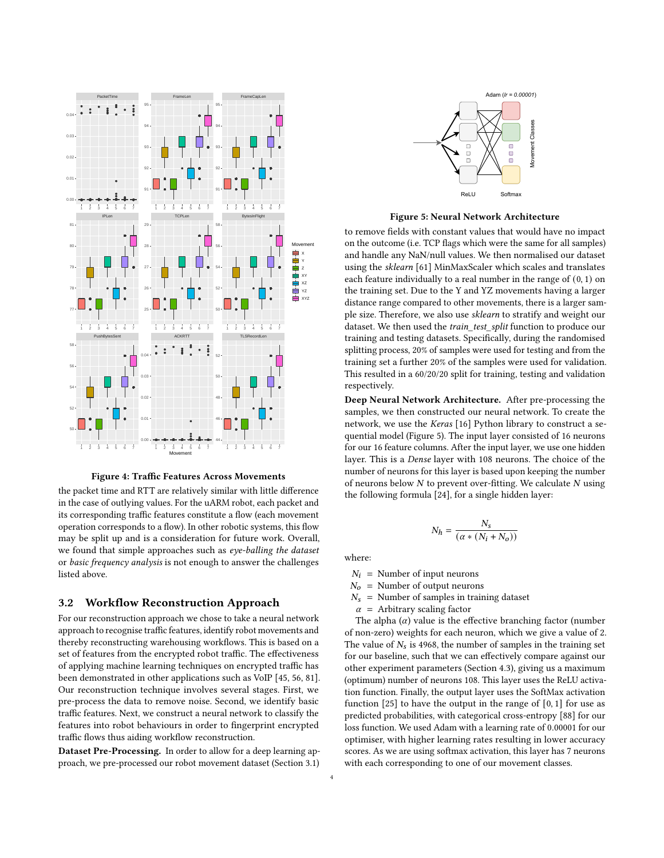<span id="page-3-0"></span>

Figure 4: Traffic Features Across Movements

the packet time and RTT are relatively similar with little difference in the case of outlying values. For the uARM robot, each packet and its corresponding traffic features constitute a flow (each movement operation corresponds to a flow). In other robotic systems, this flow may be split up and is a consideration for future work. Overall, we found that simple approaches such as eye-balling the dataset or basic frequency analysis is not enough to answer the challenges listed above.

#### <span id="page-3-2"></span>3.2 Workflow Reconstruction Approach

For our reconstruction approach we chose to take a neural network approach to recognise traffic features, identify robot movements and thereby reconstructing warehousing workflows. This is based on a set of features from the encrypted robot traffic. The effectiveness of applying machine learning techniques on encrypted traffic has been demonstrated in other applications such as VoIP [\[45,](#page-12-15) [56,](#page-12-16) [81\]](#page-12-17). Our reconstruction technique involves several stages. First, we pre-process the data to remove noise. Second, we identify basic traffic features. Next, we construct a neural network to classify the features into robot behaviours in order to fingerprint encrypted traffic flows thus aiding workflow reconstruction.

Dataset Pre-Processing. In order to allow for a deep learning approach, we pre-processed our robot movement dataset (Section [3.1\)](#page-2-1)

<span id="page-3-1"></span>

Figure 5: Neural Network Architecture

to remove fields with constant values that would have no impact on the outcome (i.e. TCP flags which were the same for all samples) and handle any NaN/null values. We then normalised our dataset using the sklearn [\[61\]](#page-12-18) MinMaxScaler which scales and translates each feature individually to a real number in the range of (0, 1) on the training set. Due to the Y and YZ movements having a larger distance range compared to other movements, there is a larger sample size. Therefore, we also use sklearn to stratify and weight our dataset. We then used the train\_test\_split function to produce our training and testing datasets. Specifically, during the randomised splitting process, 20% of samples were used for testing and from the training set a further 20% of the samples were used for validation. This resulted in a 60/20/20 split for training, testing and validation respectively.

Deep Neural Network Architecture. After pre-processing the samples, we then constructed our neural network. To create the network, we use the Keras [\[16\]](#page-11-10) Python library to construct a sequential model (Figure [5\)](#page-3-1). The input layer consisted of 16 neurons for our 16 feature columns. After the input layer, we use one hidden layer. This is a Dense layer with 108 neurons. The choice of the number of neurons for this layer is based upon keeping the number of neurons below  $N$  to prevent over-fitting. We calculate  $N$  using the following formula [\[24\]](#page-11-11), for a single hidden layer:

$$
N_h = \frac{N_s}{\left(\alpha * \left(N_i + N_o\right)\right)}
$$

where:

 $N_i$  = Number of input neurons

 $N_0$  = Number of output neurons

 $N_s$  = Number of samples in training dataset

 $\alpha$  = Arbitrary scaling factor

The alpha  $(\alpha)$  value is the effective branching factor (number of non-zero) weights for each neuron, which we give a value of 2. The value of  $N_s$  is 4968, the number of samples in the training set for our baseline, such that we can effectively compare against our other experiment parameters (Section [4.3\)](#page-5-0), giving us a maximum (optimum) number of neurons 108. This layer uses the ReLU activation function. Finally, the output layer uses the SoftMax activation function  $[25]$  to have the output in the range of  $[0, 1]$  for use as predicted probabilities, with categorical cross-entropy [\[88\]](#page-12-19) for our loss function. We used Adam with a learning rate of 0.00001 for our optimiser, with higher learning rates resulting in lower accuracy scores. As we are using softmax activation, this layer has 7 neurons with each corresponding to one of our movement classes.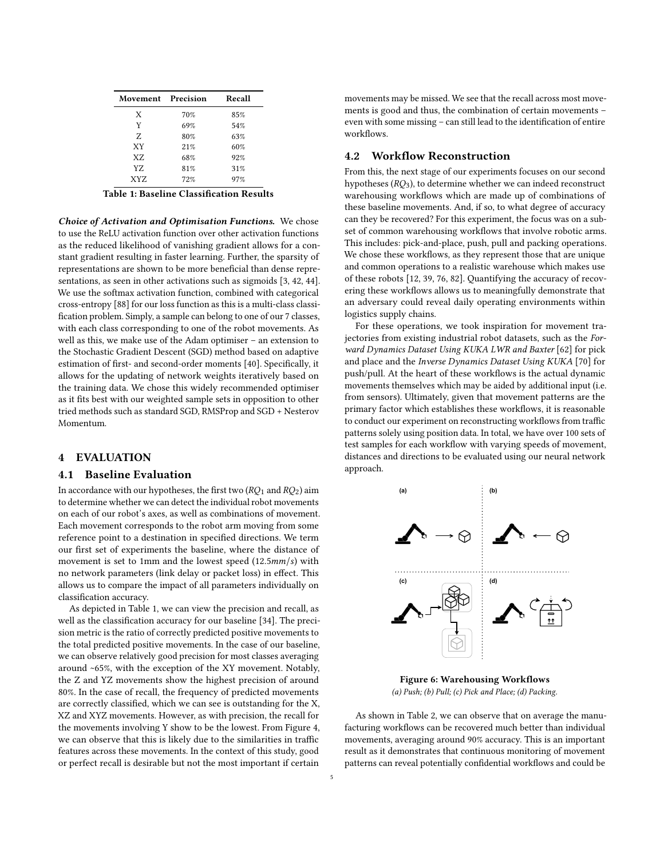<span id="page-4-0"></span>

| Movement Precision |     | Recall |
|--------------------|-----|--------|
| X                  | 70% | 85%    |
| Y                  | 69% | 54%    |
| Z                  | 80% | 63%    |
| <b>XY</b>          | 21% | 60%    |
| X7.                | 68% | 92%    |
| YZ                 | 81% | 31%    |
| XYZ                | 72% | 97%    |

Table 1: Baseline Classification Results

Choice of Activation and Optimisation Functions. We chose to use the ReLU activation function over other activation functions as the reduced likelihood of vanishing gradient allows for a constant gradient resulting in faster learning. Further, the sparsity of representations are shown to be more beneficial than dense representations, as seen in other activations such as sigmoids [\[3,](#page-11-13) [42,](#page-11-14) [44\]](#page-11-15). We use the softmax activation function, combined with categorical cross-entropy [\[88\]](#page-12-19) for our loss function as this is a multi-class classification problem. Simply, a sample can belong to one of our 7 classes, with each class corresponding to one of the robot movements. As well as this, we make use of the Adam optimiser – an extension to the Stochastic Gradient Descent (SGD) method based on adaptive estimation of first- and second-order moments [\[40\]](#page-11-16). Specifically, it allows for the updating of network weights iteratively based on the training data. We chose this widely recommended optimiser as it fits best with our weighted sample sets in opposition to other tried methods such as standard SGD, RMSProp and SGD + Nesterov Momentum.

#### 4 EVALUATION

#### 4.1 Baseline Evaluation

In accordance with our hypotheses, the first two  $(RO<sub>1</sub>$  and  $RO<sub>2</sub>)$  aim to determine whether we can detect the individual robot movements on each of our robot's axes, as well as combinations of movement. Each movement corresponds to the robot arm moving from some reference point to a destination in specified directions. We term our first set of experiments the baseline, where the distance of movement is set to 1mm and the lowest speed  $(12.5mm/s)$  with no network parameters (link delay or packet loss) in effect. This allows us to compare the impact of all parameters individually on classification accuracy.

As depicted in Table [1,](#page-4-0) we can view the precision and recall, as well as the classification accuracy for our baseline [\[34\]](#page-11-17). The precision metric is the ratio of correctly predicted positive movements to the total predicted positive movements. In the case of our baseline, we can observe relatively good precision for most classes averaging around ~65%, with the exception of the XY movement. Notably, the Z and YZ movements show the highest precision of around 80%. In the case of recall, the frequency of predicted movements are correctly classified, which we can see is outstanding for the X, XZ and XYZ movements. However, as with precision, the recall for the movements involving Y show to be the lowest. From Figure [4,](#page-3-0) we can observe that this is likely due to the similarities in traffic features across these movements. In the context of this study, good or perfect recall is desirable but not the most important if certain

movements may be missed. We see that the recall across most movements is good and thus, the combination of certain movements – even with some missing – can still lead to the identification of entire workflows.

#### 4.2 Workflow Reconstruction

From this, the next stage of our experiments focuses on our second hypotheses  $(RQ_3)$ , to determine whether we can indeed reconstruct warehousing workflows which are made up of combinations of these baseline movements. And, if so, to what degree of accuracy can they be recovered? For this experiment, the focus was on a subset of common warehousing workflows that involve robotic arms. This includes: pick-and-place, push, pull and packing operations. We chose these workflows, as they represent those that are unique and common operations to a realistic warehouse which makes use of these robots [\[12,](#page-11-18) [39,](#page-11-19) [76,](#page-12-20) [82\]](#page-12-21). Quantifying the accuracy of recovering these workflows allows us to meaningfully demonstrate that an adversary could reveal daily operating environments within logistics supply chains.

For these operations, we took inspiration for movement trajectories from existing industrial robot datasets, such as the Forward Dynamics Dataset Using KUKA LWR and Baxter [\[62\]](#page-12-22) for pick and place and the Inverse Dynamics Dataset Using KUKA [\[70\]](#page-12-23) for push/pull. At the heart of these workflows is the actual dynamic movements themselves which may be aided by additional input (i.e. from sensors). Ultimately, given that movement patterns are the primary factor which establishes these workflows, it is reasonable to conduct our experiment on reconstructing workflows from traffic patterns solely using position data. In total, we have over 100 sets of test samples for each workflow with varying speeds of movement, distances and directions to be evaluated using our neural network approach.



Figure 6: Warehousing Workflows (a) Push; (b) Pull; (c) Pick and Place; (d) Packing.

As shown in Table [2,](#page-5-1) we can observe that on average the manufacturing workflows can be recovered much better than individual movements, averaging around 90% accuracy. This is an important result as it demonstrates that continuous monitoring of movement patterns can reveal potentially confidential workflows and could be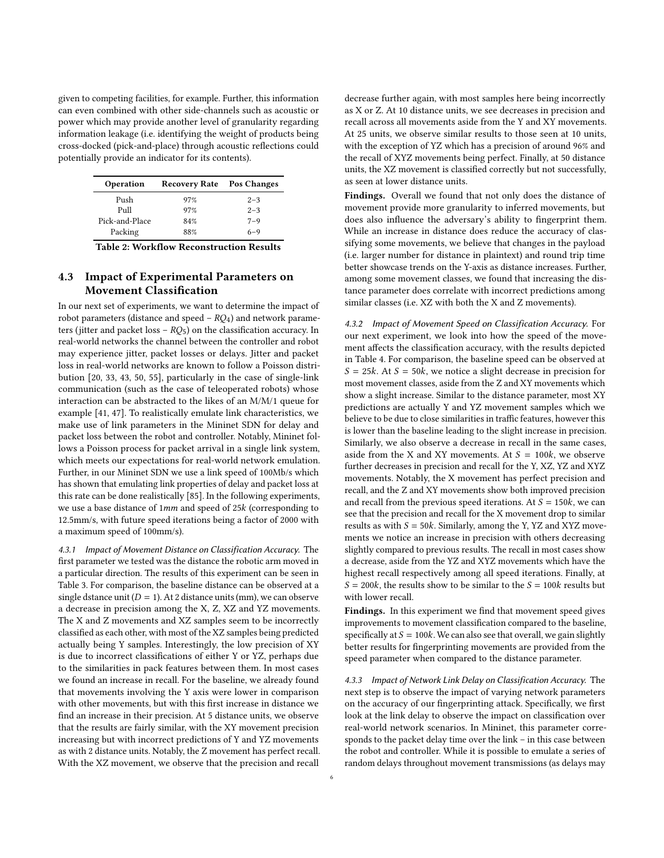given to competing facilities, for example. Further, this information can even combined with other side-channels such as acoustic or power which may provide another level of granularity regarding information leakage (i.e. identifying the weight of products being cross-docked (pick-and-place) through acoustic reflections could potentially provide an indicator for its contents).

<span id="page-5-1"></span>

| Operation      | Recovery Rate Pos Changes |         |
|----------------|---------------------------|---------|
| Push           | 97%                       | $2 - 3$ |
| Pull           | 97%                       | $2 - 3$ |
| Pick-and-Place | 84%                       | $7 - 9$ |
| Packing        | 88%                       | $6 - 9$ |

Table 2: Workflow Reconstruction Results

# <span id="page-5-0"></span>4.3 Impact of Experimental Parameters on Movement Classification

In our next set of experiments, we want to determine the impact of robot parameters (distance and speed –  $RO<sub>4</sub>$ ) and network parameters (jitter and packet loss –  $RQ_5$ ) on the classification accuracy. In real-world networks the channel between the controller and robot may experience jitter, packet losses or delays. Jitter and packet loss in real-world networks are known to follow a Poisson distribution [\[20,](#page-11-20) [33,](#page-11-21) [43,](#page-11-22) [50,](#page-12-24) [55\]](#page-12-25), particularly in the case of single-link communication (such as the case of teleoperated robots) whose interaction can be abstracted to the likes of an M/M/1 queue for example [\[41,](#page-11-23) [47\]](#page-12-26). To realistically emulate link characteristics, we make use of link parameters in the Mininet SDN for delay and packet loss between the robot and controller. Notably, Mininet follows a Poisson process for packet arrival in a single link system, which meets our expectations for real-world network emulation. Further, in our Mininet SDN we use a link speed of 100Mb/s which has shown that emulating link properties of delay and packet loss at this rate can be done realistically [\[85\]](#page-12-27). In the following experiments, we use a base distance of  $1mm$  and speed of  $25k$  (corresponding to 12.5mm/s, with future speed iterations being a factor of 2000 with a maximum speed of 100mm/s).

4.3.1 Impact of Movement Distance on Classification Accuracy. The first parameter we tested was the distance the robotic arm moved in a particular direction. The results of this experiment can be seen in Table [3.](#page-6-0) For comparison, the baseline distance can be observed at a single dstance unit ( $D = 1$ ). At 2 distance units (mm), we can observe a decrease in precision among the X, Z, XZ and YZ movements. The X and Z movements and XZ samples seem to be incorrectly classified as each other, with most of the XZ samples being predicted actually being Y samples. Interestingly, the low precision of XY is due to incorrect classifications of either Y or YZ, perhaps due to the similarities in pack features between them. In most cases we found an increase in recall. For the baseline, we already found that movements involving the Y axis were lower in comparison with other movements, but with this first increase in distance we find an increase in their precision. At 5 distance units, we observe that the results are fairly similar, with the XY movement precision increasing but with incorrect predictions of Y and YZ movements as with 2 distance units. Notably, the Z movement has perfect recall. With the XZ movement, we observe that the precision and recall

decrease further again, with most samples here being incorrectly as X or Z. At 10 distance units, we see decreases in precision and recall across all movements aside from the Y and XY movements. At 25 units, we observe similar results to those seen at 10 units, with the exception of YZ which has a precision of around 96% and the recall of XYZ movements being perfect. Finally, at 50 distance units, the XZ movement is classified correctly but not successfully, as seen at lower distance units.

Findings. Overall we found that not only does the distance of movement provide more granularity to inferred movements, but does also influence the adversary's ability to fingerprint them. While an increase in distance does reduce the accuracy of classifying some movements, we believe that changes in the payload (i.e. larger number for distance in plaintext) and round trip time better showcase trends on the Y-axis as distance increases. Further, among some movement classes, we found that increasing the distance parameter does correlate with incorrect predictions among similar classes (i.e. XZ with both the X and Z movements).

4.3.2 Impact of Movement Speed on Classification Accuracy. For our next experiment, we look into how the speed of the movement affects the classification accuracy, with the results depicted in Table [4.](#page-6-1) For comparison, the baseline speed can be observed at  $S = 25k$ . At  $S = 50k$ , we notice a slight decrease in precision for most movement classes, aside from the Z and XY movements which show a slight increase. Similar to the distance parameter, most XY predictions are actually Y and YZ movement samples which we believe to be due to close similarities in traffic features, however this is lower than the baseline leading to the slight increase in precision. Similarly, we also observe a decrease in recall in the same cases, aside from the X and XY movements. At  $S = 100k$ , we observe further decreases in precision and recall for the Y, XZ, YZ and XYZ movements. Notably, the X movement has perfect precision and recall, and the Z and XY movements show both improved precision and recall from the previous speed iterations. At  $S = 150k$ , we can see that the precision and recall for the X movement drop to similar results as with  $S = 50k$ . Similarly, among the Y, YZ and XYZ movements we notice an increase in precision with others decreasing slightly compared to previous results. The recall in most cases show a decrease, aside from the YZ and XYZ movements which have the highest recall respectively among all speed iterations. Finally, at  $S = 200k$ , the results show to be similar to the  $S = 100k$  results but with lower recall.

Findings. In this experiment we find that movement speed gives improvements to movement classification compared to the baseline, specifically at  $S = 100k$ . We can also see that overall, we gain slightly better results for fingerprinting movements are provided from the speed parameter when compared to the distance parameter.

<span id="page-5-2"></span>4.3.3 Impact of Network Link Delay on Classification Accuracy. The next step is to observe the impact of varying network parameters on the accuracy of our fingerprinting attack. Specifically, we first look at the link delay to observe the impact on classification over real-world network scenarios. In Mininet, this parameter corresponds to the packet delay time over the link – in this case between the robot and controller. While it is possible to emulate a series of random delays throughout movement transmissions (as delays may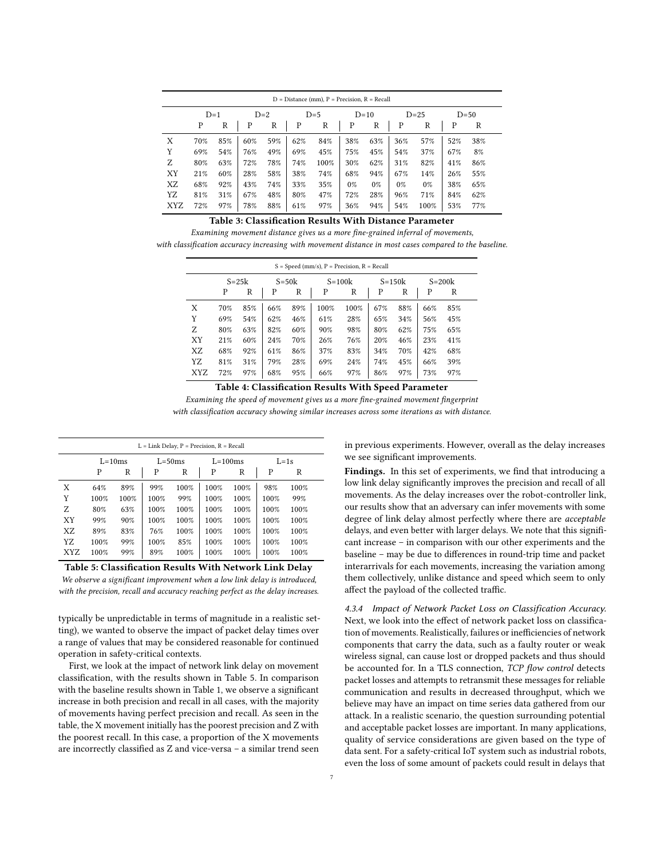<span id="page-6-0"></span>

| $D = Distance (mm)$ , $P = Precision$ , $R = Recall$ |     |       |     |       |     |       |       |        |       |        |     |        |
|------------------------------------------------------|-----|-------|-----|-------|-----|-------|-------|--------|-------|--------|-----|--------|
|                                                      |     | $D=1$ |     | $D=2$ |     | $D=5$ |       | $D=10$ |       | $D=25$ |     | $D=50$ |
|                                                      | P   | R     | Ρ   | R     | P   | R     | P     | R      | P     | R      | Ρ   | R      |
| Χ                                                    | 70% | 85%   | 60% | 59%   | 62% | 84%   | 38%   | 63%    | 36%   | 57%    | 52% | 38%    |
| Y                                                    | 69% | 54%   | 76% | 49%   | 69% | 45%   | 75%   | 45%    | 54%   | 37%    | 67% | 8%     |
| Ζ                                                    | 80% | 63%   | 72% | 78%   | 74% | 100%  | 30%   | 62%    | 31%   | 82%    | 41% | 86%    |
| XY                                                   | 21% | 60%   | 28% | 58%   | 38% | 74%   | 68%   | 94%    | 67%   | 14%    | 26% | 55%    |
| XZ                                                   | 68% | 92%   | 43% | 74%   | 33% | 35%   | $0\%$ | 0%     | $0\%$ | $0\%$  | 38% | 65%    |
| YZ                                                   | 81% | 31%   | 67% | 48%   | 80% | 47%   | 72%   | 28%    | 96%   | 71%    | 84% | 62%    |
| XYZ                                                  | 72% | 97%   | 78% | 88%   | 61% | 97%   | 36%   | 94%    | 54%   | 100%   | 53% | 77%    |

# Table 3: Classification Results With Distance Parameter

<span id="page-6-1"></span>Examining movement distance gives us a more fine-grained inferral of movements, with classification accuracy increasing with movement distance in most cases compared to the baseline.

| $S = Speed (mm/s), P = Precision, R = Recall$ |           |     |           |     |          |      |            |     |     |            |
|-----------------------------------------------|-----------|-----|-----------|-----|----------|------|------------|-----|-----|------------|
|                                               | $S = 25k$ |     | $S = 50k$ |     | $S=100k$ |      | $S = 150k$ |     |     | $S = 200k$ |
|                                               | P         | R   | P         | R   | P        | R    | P          | R   | P   | R          |
| Χ                                             | 70%       | 85% | 66%       | 89% | 100%     | 100% | 67%        | 88% | 66% | 85%        |
| Y                                             | 69%       | 54% | 62%       | 46% | 61%      | 28%  | 65%        | 34% | 56% | 45%        |
| Z                                             | 80%       | 63% | 82%       | 60% | 90%      | 98%  | 80%        | 62% | 75% | 65%        |
| XY                                            | 21%       | 60% | 24%       | 70% | 26%      | 76%  | 20%        | 46% | 23% | 41%        |
| XZ                                            | 68%       | 92% | 61%       | 86% | 37%      | 83%  | 34%        | 70% | 42% | 68%        |
| YZ                                            | 81%       | 31% | 79%       | 28% | 69%      | 24%  | 74%        | 45% | 66% | 39%        |
| <b>XYZ</b>                                    | 72%       | 97% | 68%       | 95% | 66%      | 97%  | 86%        | 97% | 73% | 97%        |

Table 4: Classification Results With Speed Parameter

Examining the speed of movement gives us a more fine-grained movement fingerprint with classification accuracy showing similar increases across some iterations as with distance.

<span id="page-6-2"></span>

| $L =$ Link Delay, P = Precision, R = Recall |          |      |             |      |           |      |      |          |
|---------------------------------------------|----------|------|-------------|------|-----------|------|------|----------|
|                                             | $L=10ms$ |      | $L = 50$ ms |      | $L=100ms$ |      |      | $L = 1s$ |
|                                             | P        | R    | P           | R    | P         | R    | P    | R        |
| X                                           | 64%      | 89%  | 99%         | 100% | 100%      | 100% | 98%  | 100%     |
| Y                                           | 100%     | 100% | 100%        | 99%  | 100%      | 100% | 100% | 99%      |
| Z                                           | 80%      | 63%  | 100%        | 100% | 100%      | 100% | 100% | 100%     |
| XY                                          | 99%      | 90%  | 100%        | 100% | 100%      | 100% | 100% | 100%     |
| XZ                                          | 89%      | 83%  | 76%         | 100% | 100%      | 100% | 100% | 100%     |
| YZ                                          | 100%     | 99%  | 100%        | 85%  | 100%      | 100% | 100% | 100%     |
| <b>XYZ</b>                                  | 100%     | 99%  | 89%         | 100% | 100%      | 100% | 100% | 100%     |

Table 5: Classification Results With Network Link Delay We observe a significant improvement when a low link delay is introduced, with the precision, recall and accuracy reaching perfect as the delay increases.

typically be unpredictable in terms of magnitude in a realistic setting), we wanted to observe the impact of packet delay times over a range of values that may be considered reasonable for continued operation in safety-critical contexts.

First, we look at the impact of network link delay on movement classification, with the results shown in Table [5.](#page-6-2) In comparison with the baseline results shown in Table [1,](#page-4-0) we observe a significant increase in both precision and recall in all cases, with the majority of movements having perfect precision and recall. As seen in the table, the X movement initially has the poorest precision and Z with the poorest recall. In this case, a proportion of the X movements are incorrectly classified as Z and vice-versa – a similar trend seen

7

in previous experiments. However, overall as the delay increases we see significant improvements.

Findings. In this set of experiments, we find that introducing a low link delay significantly improves the precision and recall of all movements. As the delay increases over the robot-controller link, our results show that an adversary can infer movements with some degree of link delay almost perfectly where there are acceptable delays, and even better with larger delays. We note that this significant increase – in comparison with our other experiments and the baseline – may be due to differences in round-trip time and packet interarrivals for each movements, increasing the variation among them collectively, unlike distance and speed which seem to only affect the payload of the collected traffic.

<span id="page-6-3"></span>4.3.4 Impact of Network Packet Loss on Classification Accuracy. Next, we look into the effect of network packet loss on classification of movements. Realistically, failures or inefficiencies of network components that carry the data, such as a faulty router or weak wireless signal, can cause lost or dropped packets and thus should be accounted for. In a TLS connection, TCP flow control detects packet losses and attempts to retransmit these messages for reliable communication and results in decreased throughput, which we believe may have an impact on time series data gathered from our attack. In a realistic scenario, the question surrounding potential and acceptable packet losses are important. In many applications, quality of service considerations are given based on the type of data sent. For a safety-critical IoT system such as industrial robots, even the loss of some amount of packets could result in delays that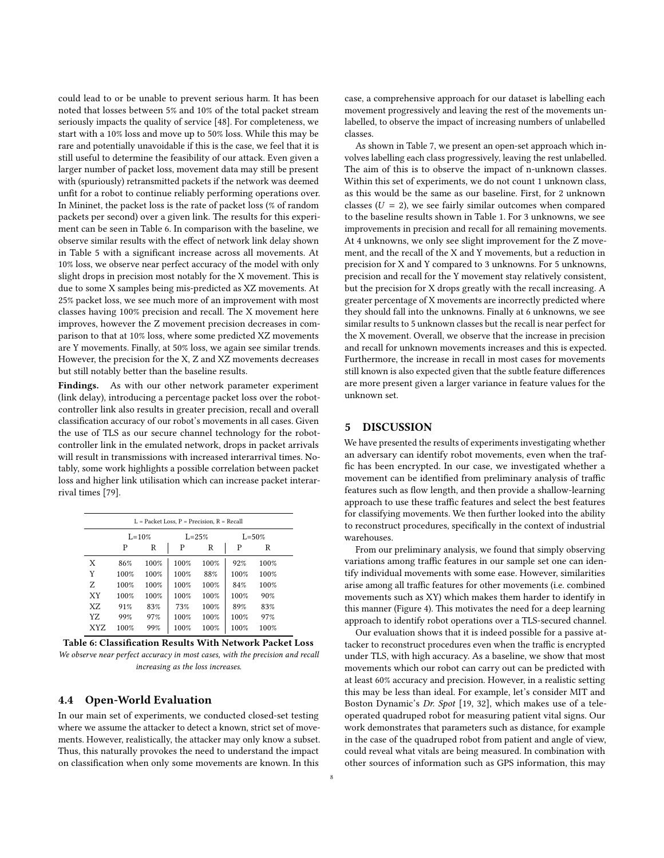could lead to or be unable to prevent serious harm. It has been noted that losses between 5% and 10% of the total packet stream seriously impacts the quality of service [\[48\]](#page-12-28). For completeness, we start with a 10% loss and move up to 50% loss. While this may be rare and potentially unavoidable if this is the case, we feel that it is still useful to determine the feasibility of our attack. Even given a larger number of packet loss, movement data may still be present with (spuriously) retransmitted packets if the network was deemed unfit for a robot to continue reliably performing operations over. In Mininet, the packet loss is the rate of packet loss (% of random packets per second) over a given link. The results for this experiment can be seen in Table [6.](#page-7-1) In comparison with the baseline, we observe similar results with the effect of network link delay shown in Table [5](#page-6-2) with a significant increase across all movements. At 10% loss, we observe near perfect accuracy of the model with only slight drops in precision most notably for the X movement. This is due to some X samples being mis-predicted as XZ movements. At 25% packet loss, we see much more of an improvement with most classes having 100% precision and recall. The X movement here improves, however the Z movement precision decreases in comparison to that at 10% loss, where some predicted XZ movements are Y movements. Finally, at 50% loss, we again see similar trends. However, the precision for the X, Z and XZ movements decreases but still notably better than the baseline results.

Findings. As with our other network parameter experiment (link delay), introducing a percentage packet loss over the robotcontroller link also results in greater precision, recall and overall classification accuracy of our robot's movements in all cases. Given the use of TLS as our secure channel technology for the robotcontroller link in the emulated network, drops in packet arrivals will result in transmissions with increased interarrival times. Notably, some work highlights a possible correlation between packet loss and higher link utilisation which can increase packet interarrival times [\[79\]](#page-12-29).

<span id="page-7-1"></span>

| $L =$ Packet Loss, $P =$ Precision, $R =$ Recall |            |      |      |           |      |            |  |  |
|--------------------------------------------------|------------|------|------|-----------|------|------------|--|--|
|                                                  | $L = 10\%$ |      |      | $L = 25%$ |      | $L = 50\%$ |  |  |
|                                                  | P          | R    | P    | R         | P    | R          |  |  |
| X                                                | 86%        | 100% | 100% | 100%      | 92%  | 100%       |  |  |
| Y                                                | 100%       | 100% | 100% | 88%       | 100% | 100%       |  |  |
| Z                                                | 100%       | 100% | 100% | 100%      | 84%  | 100%       |  |  |
| XY                                               | 100%       | 100% | 100% | 100%      | 100% | 90%        |  |  |
| XZ                                               | 91%        | 83%  | 73%  | 100%      | 89%  | 83%        |  |  |
| YZ.                                              | 99%        | 97%  | 100% | 100%      | 100% | 97%        |  |  |
| XYZ                                              | 100%       | 99%  | 100% | 100%      | 100% | 100%       |  |  |

Table 6: Classification Results With Network Packet Loss We observe near perfect accuracy in most cases, with the precision and recall increasing as the loss increases.

### 4.4 Open-World Evaluation

In our main set of experiments, we conducted closed-set testing where we assume the attacker to detect a known, strict set of movements. However, realistically, the attacker may only know a subset. Thus, this naturally provokes the need to understand the impact on classification when only some movements are known. In this

case, a comprehensive approach for our dataset is labelling each movement progressively and leaving the rest of the movements unlabelled, to observe the impact of increasing numbers of unlabelled classes.

As shown in Table [7,](#page-8-0) we present an open-set approach which involves labelling each class progressively, leaving the rest unlabelled. The aim of this is to observe the impact of n-unknown classes. Within this set of experiments, we do not count 1 unknown class, as this would be the same as our baseline. First, for 2 unknown classes ( $U = 2$ ), we see fairly similar outcomes when compared to the baseline results shown in Table [1.](#page-4-0) For 3 unknowns, we see improvements in precision and recall for all remaining movements. At 4 unknowns, we only see slight improvement for the Z movement, and the recall of the X and Y movements, but a reduction in precision for X and Y compared to 3 unknowns. For 5 unknowns, precision and recall for the Y movement stay relatively consistent, but the precision for X drops greatly with the recall increasing. A greater percentage of X movements are incorrectly predicted where they should fall into the unknowns. Finally at 6 unknowns, we see similar results to 5 unknown classes but the recall is near perfect for the X movement. Overall, we observe that the increase in precision and recall for unknown movements increases and this is expected. Furthermore, the increase in recall in most cases for movements still known is also expected given that the subtle feature differences are more present given a larger variance in feature values for the unknown set.

#### <span id="page-7-0"></span>5 DISCUSSION

We have presented the results of experiments investigating whether an adversary can identify robot movements, even when the traffic has been encrypted. In our case, we investigated whether a movement can be identified from preliminary analysis of traffic features such as flow length, and then provide a shallow-learning approach to use these traffic features and select the best features for classifying movements. We then further looked into the ability to reconstruct procedures, specifically in the context of industrial warehouses.

From our preliminary analysis, we found that simply observing variations among traffic features in our sample set one can identify individual movements with some ease. However, similarities arise among all traffic features for other movements (i.e. combined movements such as XY) which makes them harder to identify in this manner (Figure [4\)](#page-3-0). This motivates the need for a deep learning approach to identify robot operations over a TLS-secured channel.

Our evaluation shows that it is indeed possible for a passive attacker to reconstruct procedures even when the traffic is encrypted under TLS, with high accuracy. As a baseline, we show that most movements which our robot can carry out can be predicted with at least 60% accuracy and precision. However, in a realistic setting this may be less than ideal. For example, let's consider MIT and Boston Dynamic's Dr. Spot [\[19,](#page-11-24) [32\]](#page-11-25), which makes use of a teleoperated quadruped robot for measuring patient vital signs. Our work demonstrates that parameters such as distance, for example in the case of the quadruped robot from patient and angle of view, could reveal what vitals are being measured. In combination with other sources of information such as GPS information, this may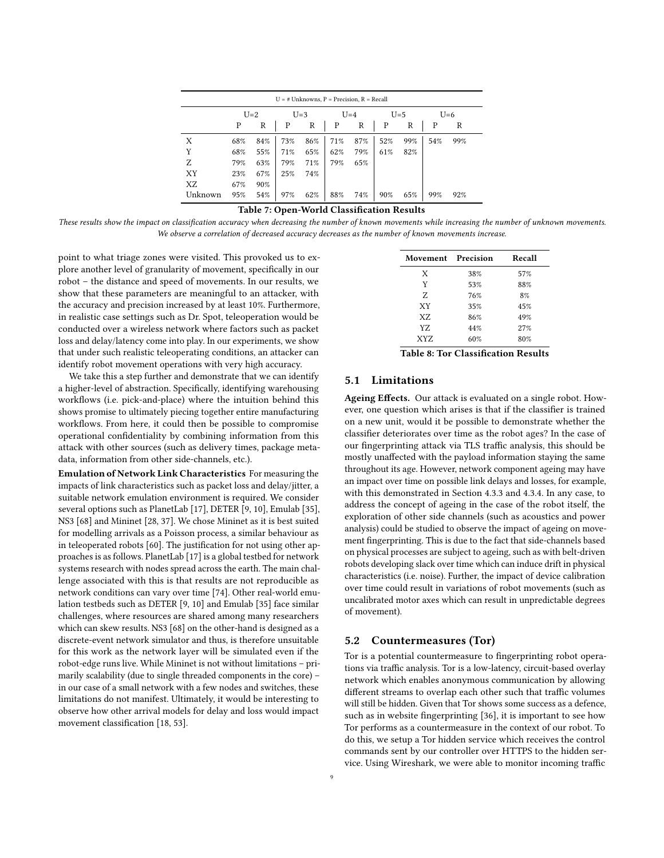<span id="page-8-0"></span>

| $U = #$ Unknowns, $P =$ Precision, $R =$ Recall |     |       |     |       |     |       |     |       |     |       |  |
|-------------------------------------------------|-----|-------|-----|-------|-----|-------|-----|-------|-----|-------|--|
|                                                 |     | $U=2$ |     | $U=3$ |     | $U=4$ |     | $U=5$ |     | $U=6$ |  |
|                                                 | P   | R     | P   | R     | P   | R     | Р   | R     | P   | R     |  |
| X                                               | 68% | 84%   | 73% | 86%   | 71% | 87%   | 52% | 99%   | 54% | 99%   |  |
| Y                                               | 68% | 55%   | 71% | 65%   | 62% | 79%   | 61% | 82%   |     |       |  |
| Z                                               | 79% | 63%   | 79% | 71%   | 79% | 65%   |     |       |     |       |  |
| XY                                              | 23% | 67%   | 25% | 74%   |     |       |     |       |     |       |  |
| XZ                                              | 67% | 90%   |     |       |     |       |     |       |     |       |  |
| Unknown                                         | 95% | 54%   | 97% | 62%   | 88% | 74%   | 90% | 65%   | 99% | 92%   |  |

# Table 7: Open-World Classification Results

These results show the impact on classification accuracy when decreasing the number of known movements while increasing the number of unknown movements. We observe a correlation of decreased accuracy decreases as the number of known movements increase.

point to what triage zones were visited. This provoked us to explore another level of granularity of movement, specifically in our robot – the distance and speed of movements. In our results, we show that these parameters are meaningful to an attacker, with the accuracy and precision increased by at least 10%. Furthermore, in realistic case settings such as Dr. Spot, teleoperation would be conducted over a wireless network where factors such as packet loss and delay/latency come into play. In our experiments, we show that under such realistic teleoperating conditions, an attacker can identify robot movement operations with very high accuracy.

We take this a step further and demonstrate that we can identify a higher-level of abstraction. Specifically, identifying warehousing workflows (i.e. pick-and-place) where the intuition behind this shows promise to ultimately piecing together entire manufacturing workflows. From here, it could then be possible to compromise operational confidentiality by combining information from this attack with other sources (such as delivery times, package metadata, information from other side-channels, etc.).

Emulation of Network Link Characteristics For measuring the impacts of link characteristics such as packet loss and delay/jitter, a suitable network emulation environment is required. We consider several options such as PlanetLab [\[17\]](#page-11-26), DETER [\[9,](#page-11-27) [10\]](#page-11-28), Emulab [\[35\]](#page-11-29), NS3 [\[68\]](#page-12-30) and Mininet [\[28,](#page-11-30) [37\]](#page-11-31). We chose Mininet as it is best suited for modelling arrivals as a Poisson process, a similar behaviour as in teleoperated robots [\[60\]](#page-12-31). The justification for not using other approaches is as follows. PlanetLab [\[17\]](#page-11-26) is a global testbed for network systems research with nodes spread across the earth. The main challenge associated with this is that results are not reproducible as network conditions can vary over time [\[74\]](#page-12-32). Other real-world emulation testbeds such as DETER [\[9,](#page-11-27) [10\]](#page-11-28) and Emulab [\[35\]](#page-11-29) face similar challenges, where resources are shared among many researchers which can skew results. NS3 [\[68\]](#page-12-30) on the other-hand is designed as a discrete-event network simulator and thus, is therefore unsuitable for this work as the network layer will be simulated even if the robot-edge runs live. While Mininet is not without limitations – primarily scalability (due to single threaded components in the core) – in our case of a small network with a few nodes and switches, these limitations do not manifest. Ultimately, it would be interesting to observe how other arrival models for delay and loss would impact movement classification [\[18,](#page-11-32) [53\]](#page-12-33).

<span id="page-8-1"></span>

| Movement Precision |     | Recall |
|--------------------|-----|--------|
| X                  | 38% | 57%    |
| Y                  | 53% | 88%    |
| Z                  | 76% | 8%     |
| XY                 | 35% | 45%    |
| XZ.                | 86% | 49%    |
| YZ.                | 44% | 27%    |
| XYZ                | 60% | 80%    |

Table 8: Tor Classification Results

# 5.1 Limitations

Ageing Effects. Our attack is evaluated on a single robot. However, one question which arises is that if the classifier is trained on a new unit, would it be possible to demonstrate whether the classifier deteriorates over time as the robot ages? In the case of our fingerprinting attack via TLS traffic analysis, this should be mostly unaffected with the payload information staying the same throughout its age. However, network component ageing may have an impact over time on possible link delays and losses, for example, with this demonstrated in Section [4.3.3](#page-5-2) and [4.3.4.](#page-6-3) In any case, to address the concept of ageing in the case of the robot itself, the exploration of other side channels (such as acoustics and power analysis) could be studied to observe the impact of ageing on movement fingerprinting. This is due to the fact that side-channels based on physical processes are subject to ageing, such as with belt-driven robots developing slack over time which can induce drift in physical characteristics (i.e. noise). Further, the impact of device calibration over time could result in variations of robot movements (such as uncalibrated motor axes which can result in unpredictable degrees of movement).

# 5.2 Countermeasures (Tor)

Tor is a potential countermeasure to fingerprinting robot operations via traffic analysis. Tor is a low-latency, circuit-based overlay network which enables anonymous communication by allowing different streams to overlap each other such that traffic volumes will still be hidden. Given that Tor shows some success as a defence, such as in website fingerprinting [\[36\]](#page-11-33), it is important to see how Tor performs as a countermeasure in the context of our robot. To do this, we setup a Tor hidden service which receives the control commands sent by our controller over HTTPS to the hidden service. Using Wireshark, we were able to monitor incoming traffic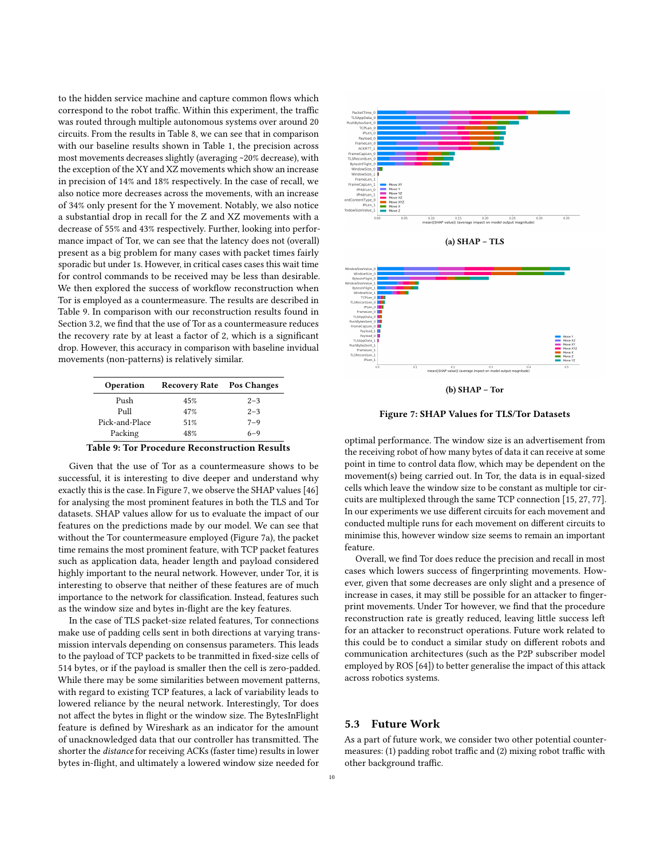to the hidden service machine and capture common flows which correspond to the robot traffic. Within this experiment, the traffic was routed through multiple autonomous systems over around 20 circuits. From the results in Table [8,](#page-8-1) we can see that in comparison with our baseline results shown in Table [1,](#page-4-0) the precision across most movements decreases slightly (averaging ~20% decrease), with the exception of the XY and XZ movements which show an increase in precision of 14% and 18% respectively. In the case of recall, we also notice more decreases across the movements, with an increase of 34% only present for the Y movement. Notably, we also notice a substantial drop in recall for the Z and XZ movements with a decrease of 55% and 43% respectively. Further, looking into performance impact of Tor, we can see that the latency does not (overall) present as a big problem for many cases with packet times fairly sporadic but under 1s. However, in critical cases cases this wait time for control commands to be received may be less than desirable. We then explored the success of workflow reconstruction when Tor is employed as a countermeasure. The results are described in Table [9.](#page-9-0) In comparison with our reconstruction results found in Section [3.2,](#page-3-2) we find that the use of Tor as a countermeasure reduces the recovery rate by at least a factor of 2, which is a significant drop. However, this accuracy in comparison with baseline invidual movements (non-patterns) is relatively similar.

<span id="page-9-0"></span>

| Operation      | Recovery Rate Pos Changes |         |
|----------------|---------------------------|---------|
| Push           | 45%                       | $2 - 3$ |
| $P_{11}$       | 47%                       | $2 - 3$ |
| Pick-and-Place | 51%                       | $7 - 9$ |
| Packing        | 48%                       | $6 - 9$ |

Table 9: Tor Procedure Reconstruction Results

Given that the use of Tor as a countermeasure shows to be successful, it is interesting to dive deeper and understand why exactly this is the case. In Figure [7,](#page-9-1) we observe the SHAP values [\[46\]](#page-12-34) for analysing the most prominent features in both the TLS and Tor datasets. SHAP values allow for us to evaluate the impact of our features on the predictions made by our model. We can see that without the Tor countermeasure employed (Figure [7a\)](#page-9-1), the packet time remains the most prominent feature, with TCP packet features such as application data, header length and payload considered highly important to the neural network. However, under Tor, it is interesting to observe that neither of these features are of much importance to the network for classification. Instead, features such as the window size and bytes in-flight are the key features.

In the case of TLS packet-size related features, Tor connections make use of padding cells sent in both directions at varying transmission intervals depending on consensus parameters. This leads to the payload of TCP packets to be tranmitted in fixed-size cells of 514 bytes, or if the payload is smaller then the cell is zero-padded. While there may be some similarities between movement patterns, with regard to existing TCP features, a lack of variability leads to lowered reliance by the neural network. Interestingly, Tor does not affect the bytes in flight or the window size. The BytesInFlight feature is defined by Wireshark as an indicator for the amount of unacknowledged data that our controller has transmitted. The shorter the distance for receiving ACKs (faster time) results in lower bytes in-flight, and ultimately a lowered window size needed for

<span id="page-9-1"></span>![](_page_9_Figure_5.jpeg)

![](_page_9_Figure_6.jpeg)

![](_page_9_Figure_7.jpeg)

Figure 7: SHAP Values for TLS/Tor Datasets

optimal performance. The window size is an advertisement from the receiving robot of how many bytes of data it can receive at some point in time to control data flow, which may be dependent on the movement(s) being carried out. In Tor, the data is in equal-sized cells which leave the window size to be constant as multiple tor circuits are multiplexed through the same TCP connection [\[15,](#page-11-34) [27,](#page-11-35) [77\]](#page-12-35). In our experiments we use different circuits for each movement and conducted multiple runs for each movement on different circuits to minimise this, however window size seems to remain an important feature.

Overall, we find Tor does reduce the precision and recall in most cases which lowers success of fingerprinting movements. However, given that some decreases are only slight and a presence of increase in cases, it may still be possible for an attacker to fingerprint movements. Under Tor however, we find that the procedure reconstruction rate is greatly reduced, leaving little success left for an attacker to reconstruct operations. Future work related to this could be to conduct a similar study on different robots and communication architectures (such as the P2P subscriber model employed by ROS [\[64\]](#page-12-36)) to better generalise the impact of this attack across robotics systems.

### 5.3 Future Work

As a part of future work, we consider two other potential countermeasures: (1) padding robot traffic and (2) mixing robot traffic with other background traffic.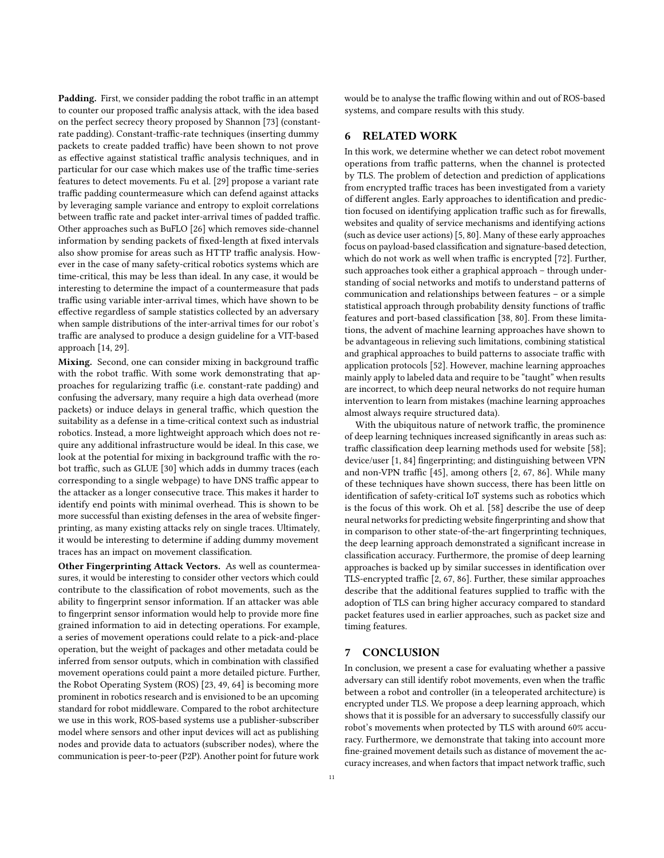Padding. First, we consider padding the robot traffic in an attempt to counter our proposed traffic analysis attack, with the idea based on the perfect secrecy theory proposed by Shannon [\[73\]](#page-12-37) (constantrate padding). Constant-traffic-rate techniques (inserting dummy packets to create padded traffic) have been shown to not prove as effective against statistical traffic analysis techniques, and in particular for our case which makes use of the traffic time-series features to detect movements. Fu et al. [\[29\]](#page-11-36) propose a variant rate traffic padding countermeasure which can defend against attacks by leveraging sample variance and entropy to exploit correlations between traffic rate and packet inter-arrival times of padded traffic. Other approaches such as BuFLO [\[26\]](#page-11-37) which removes side-channel information by sending packets of fixed-length at fixed intervals also show promise for areas such as HTTP traffic analysis. However in the case of many safety-critical robotics systems which are time-critical, this may be less than ideal. In any case, it would be interesting to determine the impact of a countermeasure that pads traffic using variable inter-arrival times, which have shown to be effective regardless of sample statistics collected by an adversary when sample distributions of the inter-arrival times for our robot's traffic are analysed to produce a design guideline for a VIT-based approach [\[14,](#page-11-38) [29\]](#page-11-36).

Mixing. Second, one can consider mixing in background traffic with the robot traffic. With some work demonstrating that approaches for regularizing traffic (i.e. constant-rate padding) and confusing the adversary, many require a high data overhead (more packets) or induce delays in general traffic, which question the suitability as a defense in a time-critical context such as industrial robotics. Instead, a more lightweight approach which does not require any additional infrastructure would be ideal. In this case, we look at the potential for mixing in background traffic with the robot traffic, such as GLUE [\[30\]](#page-11-39) which adds in dummy traces (each corresponding to a single webpage) to have DNS traffic appear to the attacker as a longer consecutive trace. This makes it harder to identify end points with minimal overhead. This is shown to be more successful than existing defenses in the area of website fingerprinting, as many existing attacks rely on single traces. Ultimately, it would be interesting to determine if adding dummy movement traces has an impact on movement classification.

Other Fingerprinting Attack Vectors. As well as countermeasures, it would be interesting to consider other vectors which could contribute to the classification of robot movements, such as the ability to fingerprint sensor information. If an attacker was able to fingerprint sensor information would help to provide more fine grained information to aid in detecting operations. For example, a series of movement operations could relate to a pick-and-place operation, but the weight of packages and other metadata could be inferred from sensor outputs, which in combination with classified movement operations could paint a more detailed picture. Further, the Robot Operating System (ROS) [\[23,](#page-11-40) [49,](#page-12-10) [64\]](#page-12-36) is becoming more prominent in robotics research and is envisioned to be an upcoming standard for robot middleware. Compared to the robot architecture we use in this work, ROS-based systems use a publisher-subscriber model where sensors and other input devices will act as publishing nodes and provide data to actuators (subscriber nodes), where the communication is peer-to-peer (P2P). Another point for future work would be to analyse the traffic flowing within and out of ROS-based systems, and compare results with this study.

### <span id="page-10-0"></span>6 RELATED WORK

In this work, we determine whether we can detect robot movement operations from traffic patterns, when the channel is protected by TLS. The problem of detection and prediction of applications from encrypted traffic traces has been investigated from a variety of different angles. Early approaches to identification and prediction focused on identifying application traffic such as for firewalls, websites and quality of service mechanisms and identifying actions (such as device user actions) [\[5,](#page-11-41) [80\]](#page-12-38). Many of these early approaches focus on payload-based classification and signature-based detection, which do not work as well when traffic is encrypted [\[72\]](#page-12-39). Further, such approaches took either a graphical approach – through understanding of social networks and motifs to understand patterns of communication and relationships between features – or a simple statistical approach through probability density functions of traffic features and port-based classification [\[38,](#page-11-42) [80\]](#page-12-38). From these limitations, the advent of machine learning approaches have shown to be advantageous in relieving such limitations, combining statistical and graphical approaches to build patterns to associate traffic with application protocols [\[52\]](#page-12-40). However, machine learning approaches mainly apply to labeled data and require to be "taught" when results are incorrect, to which deep neural networks do not require human intervention to learn from mistakes (machine learning approaches almost always require structured data).

With the ubiquitous nature of network traffic, the prominence of deep learning techniques increased significantly in areas such as: traffic classification deep learning methods used for website [\[58\]](#page-12-9); device/user [\[1,](#page-11-7) [84\]](#page-12-41) fingerprinting; and distinguishing between VPN and non-VPN traffic [\[45\]](#page-12-15), among others [\[2,](#page-11-43) [67,](#page-12-42) [86\]](#page-12-43). While many of these techniques have shown success, there has been little on identification of safety-critical IoT systems such as robotics which is the focus of this work. Oh et al. [\[58\]](#page-12-9) describe the use of deep neural networks for predicting website fingerprinting and show that in comparison to other state-of-the-art fingerprinting techniques, the deep learning approach demonstrated a significant increase in classification accuracy. Furthermore, the promise of deep learning approaches is backed up by similar successes in identification over TLS-encrypted traffic [\[2,](#page-11-43) [67,](#page-12-42) [86\]](#page-12-43). Further, these similar approaches describe that the additional features supplied to traffic with the adoption of TLS can bring higher accuracy compared to standard packet features used in earlier approaches, such as packet size and timing features.

### <span id="page-10-1"></span>7 CONCLUSION

In conclusion, we present a case for evaluating whether a passive adversary can still identify robot movements, even when the traffic between a robot and controller (in a teleoperated architecture) is encrypted under TLS. We propose a deep learning approach, which shows that it is possible for an adversary to successfully classify our robot's movements when protected by TLS with around 60% accuracy. Furthermore, we demonstrate that taking into account more fine-grained movement details such as distance of movement the accuracy increases, and when factors that impact network traffic, such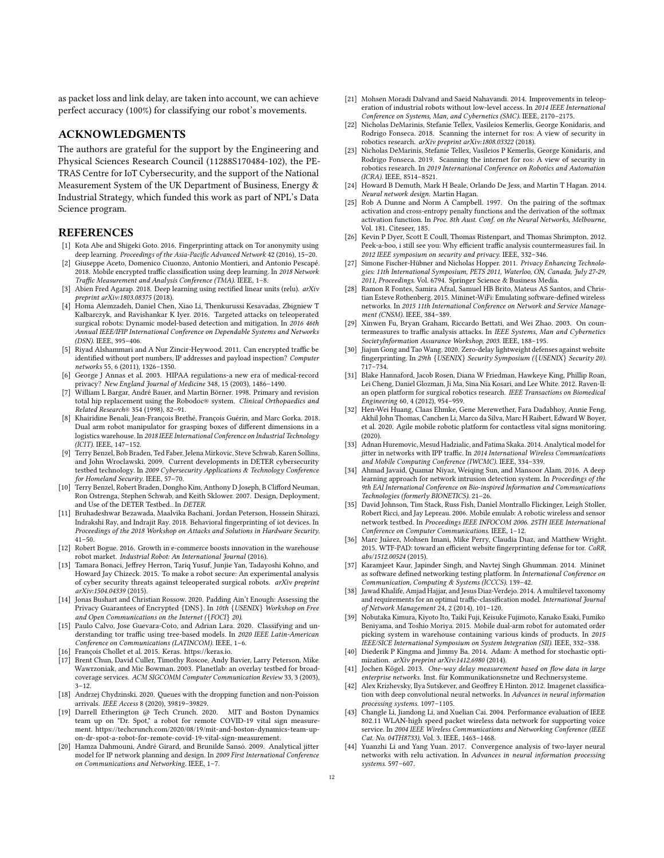as packet loss and link delay, are taken into account, we can achieve perfect accuracy (100%) for classifying our robot's movements.

### ACKNOWLEDGMENTS

The authors are grateful for the support by the Engineering and Physical Sciences Research Council (11288S170484-102), the PE-TRAS Centre for IoT Cybersecurity, and the support of the National Measurement System of the UK Department of Business, Energy & Industrial Strategy, which funded this work as part of NPL's Data Science program.

#### REFERENCES

- <span id="page-11-7"></span>[1] Kota Abe and Shigeki Goto. 2016. Fingerprinting attack on Tor anonymity using deep learning. Proceedings of the Asia-Pacific Advanced Network 42 (2016), 15–20.
- <span id="page-11-43"></span>[2] Giuseppe Aceto, Domenico Ciuonzo, Antonio Montieri, and Antonio Pescapé. 2018. Mobile encrypted traffic classification using deep learning. In 2018 Network Traffic Measurement and Analysis Conference (TMA). IEEE, 1–8.
- <span id="page-11-13"></span>[3] Abien Fred Agarap. 2018. Deep learning using rectified linear units (relu). arXiv preprint arXiv:1803.08375 (2018).
- <span id="page-11-3"></span>[4] Homa Alemzadeh, Daniel Chen, Xiao Li, Thenkurussi Kesavadas, Zbigniew T Kalbarczyk, and Ravishankar K Iyer. 2016. Targeted attacks on teleoperated surgical robots: Dynamic model-based detection and mitigation. In 2016 46th Annual IEEE/IFIP International Conference on Dependable Systems and Networks (DSN). IEEE, 395–406.
- <span id="page-11-41"></span>[5] Riyad Alshammari and A Nur Zincir-Heywood. 2011. Can encrypted traffic be identified without port numbers, IP addresses and payload inspection? Computer networks 55, 6 (2011), 1326–1350.
- <span id="page-11-6"></span>[6] George J Annas et al. 2003. HIPAA regulations-a new era of medical-record privacy? New England Journal of Medicine 348, 15 (2003), 1486–1490. [7] William L Bargar, André Bauer, and Martin Börner. 1998. Primary and revision
- <span id="page-11-8"></span>total hip replacement using the Robodoc® system. Clinical Orthopaedics and Related Research® 354 (1998), 82–91.
- <span id="page-11-1"></span>[8] Khairidine Benali, Jean-François Brethé, François Guérin, and Marc Gorka. 2018. Dual arm robot manipulator for grasping boxes of different dimensions in a logistics warehouse. In 2018 IEEE International Conference on Industrial Technology (ICIT). IEEE, 147–152.
- <span id="page-11-27"></span>[9] Terry Benzel, Bob Braden, Ted Faber, Jelena Mirkovic, Steve Schwab, Karen Sollins, and John Wroclawski. 2009. Current developments in DETER cybersecurity testbed technology. In 2009 Cybersecurity Applications & Technology Conference for Homeland Security. IEEE, 57–70.
- <span id="page-11-28"></span>[10] Terry Benzel, Robert Braden, Dongho Kim, Anthony D Joseph, B Clifford Neuman, Ron Ostrenga, Stephen Schwab, and Keith Sklower. 2007. Design, Deployment, and Use of the DETER Testbed.. In DETER.
- <span id="page-11-0"></span>[11] Bruhadeshwar Bezawada, Maalvika Bachani, Jordan Peterson, Hossein Shirazi, Indrakshi Ray, and Indrajit Ray. 2018. Behavioral fingerprinting of iot devices. In Proceedings of the 2018 Workshop on Attacks and Solutions in Hardware Security.  $41 - 50$
- <span id="page-11-18"></span>[12] Robert Bogue. 2016. Growth in e-commerce boosts innovation in the warehouse robot market. Industrial Robot: An International Journal (2016).
- <span id="page-11-4"></span>[13] Tamara Bonaci, Jeffrey Herron, Tariq Yusuf, Junjie Yan, Tadayoshi Kohno, and Howard Jay Chizeck. 2015. To make a robot secure: An experimental analysis of cyber security threats against teleoperated surgical robots. arXiv preprint arXiv:1504.04339 (2015).
- <span id="page-11-38"></span>[14] Jonas Bushart and Christian Rossow. 2020. Padding Ain't Enough: Assessing the Privacy Guarantees of Encrypted {DNS}. In 10th {USENIX} Workshop on Free and Open Communications on the Internet ({FOCI} 20).
- <span id="page-11-34"></span>[15] Paulo Calvo, Jose Guevara-Coto, and Adrian Lara. 2020. Classifying and understanding tor traffic using tree-based models. In 2020 IEEE Latin-American Conference on Communications (LATINCOM). IEEE, 1–6.
- <span id="page-11-10"></span>[16] François Chollet et al. 2015. Keras. [https://keras.io.](https://keras.io)
- <span id="page-11-26"></span>[17] Brent Chun, David Culler, Timothy Roscoe, Andy Bavier, Larry Peterson, Mike Wawrzoniak, and Mic Bowman. 2003. Planetlab: an overlay testbed for broadcoverage services. ACM SIGCOMM Computer Communication Review 33, 3 (2003),  $3 - 12$ .
- <span id="page-11-32"></span>[18] Andrzej Chydzinski. 2020. Queues with the dropping function and non-Poisson arrivals. IEEE Access 8 (2020), 39819–39829.
- <span id="page-11-24"></span>[19] Darrell Etherington @ Tech Crunch. 2020. MIT and Boston Dynamics team up on "Dr. Spot," a robot for remote COVID-19 vital sign measurement. [https://techcrunch.com/2020/08/19/mit-and-boston-dynamics-team-up](https://techcrunch.com/2020/08/19/mit-and-boston-dynamics-team-up-on-dr-spot-a-robot-for-remote-covid-19-vital-sign-measurement)[on-dr-spot-a-robot-for-remote-covid-19-vital-sign-measurement.](https://techcrunch.com/2020/08/19/mit-and-boston-dynamics-team-up-on-dr-spot-a-robot-for-remote-covid-19-vital-sign-measurement)
- <span id="page-11-20"></span>[20] Hamza Dahmouni, André Girard, and Brunilde Sansó. 2009. Analytical jitter model for IP network planning and design. In 2009 First International Conference on Communications and Networking. IEEE, 1–7.
- <span id="page-11-9"></span>[21] Mohsen Moradi Dalvand and Saeid Nahavandi. 2014. Improvements in teleoperation of industrial robots without low-level access. In 2014 IEEE International Conference on Systems, Man, and Cybernetics (SMC). IEEE, 2170–2175.
- <span id="page-11-5"></span>[22] Nicholas DeMarinis, Stefanie Tellex, Vasileios Kemerlis, George Konidaris, and Rodrigo Fonseca. 2018. Scanning the internet for ros: A view of security in robotics research. arXiv preprint arXiv:1808.03322 (2018).
- <span id="page-11-40"></span>[23] Nicholas DeMarinis, Stefanie Tellex, Vasileios P Kemerlis, George Konidaris, and Rodrigo Fonseca. 2019. Scanning the internet for ros: A view of security in robotics research. In 2019 International Conference on Robotics and Automation (ICRA). IEEE, 8514–8521.
- <span id="page-11-11"></span>[24] Howard B Demuth, Mark H Beale, Orlando De Jess, and Martin T Hagan. 2014. Neural network design. Martin Hagan.
- <span id="page-11-12"></span>[25] Rob A Dunne and Norm A Campbell. 1997. On the pairing of the softmax activation and cross-entropy penalty functions and the derivation of the softmax activation function. In Proc. 8th Aust. Conf. on the Neural Networks, Melbourne, Vol. 181. Citeseer, 185.
- <span id="page-11-37"></span>[26] Kevin P Dyer, Scott E Coull, Thomas Ristenpart, and Thomas Shrimpton. 2012. Peek-a-boo, i still see you: Why efficient traffic analysis countermeasures fail. In 2012 IEEE symposium on security and privacy. IEEE, 332–346.
- <span id="page-11-35"></span>[27] Simone Fischer-Hübner and Nicholas Hopper. 2011. Privacy Enhancing Technologies: 11th International Symposium, PETS 2011, Waterloo, ON, Canada, July 27-29, 2011, Proceedings. Vol. 6794. Springer Science & Business Media.
- <span id="page-11-30"></span>[28] Ramon R Fontes, Samira Afzal, Samuel HB Brito, Mateus AS Santos, and Christian Esteve Rothenberg. 2015. Mininet-WiFi: Emulating software-defined wireless networks. In 2015 11th International Conference on Network and Service Management (CNSM). IEEE, 384–389.
- <span id="page-11-36"></span>[29] Xinwen Fu, Bryan Graham, Riccardo Bettati, and Wei Zhao. 2003. On countermeasures to traffic analysis attacks. In IEEE Systems, Man and Cybernetics SocietyInformation Assurance Workshop, 2003. IEEE, 188–195.
- <span id="page-11-39"></span>[30] Jiajun Gong and Tao Wang. 2020. Zero-delay lightweight defenses against website fingerprinting. In 29th {USENIX} Security Symposium ({USENIX} Security 20). 717–734.
- <span id="page-11-2"></span>[31] Blake Hannaford, Jacob Rosen, Diana W Friedman, Hawkeye King, Phillip Roan, Lei Cheng, Daniel Glozman, Ji Ma, Sina Nia Kosari, and Lee White. 2012. Raven-II: an open platform for surgical robotics research. IEEE Transactions on Biomedical Engineering 60, 4 (2012), 954–959.
- <span id="page-11-25"></span>[32] Hen-Wei Huang, Claas Ehmke, Gene Merewether, Fara Dadabhoy, Annie Feng, Akhil John Thomas, Canchen Li, Marco da Silva, Marc H Raibert, Edward W Boyer, et al. 2020. Agile mobile robotic platform for contactless vital signs monitoring. (2020).
- <span id="page-11-21"></span>[33] Adnan Huremovic, Mesud Hadzialic, and Fatima Skaka. 2014. Analytical model for jitter in networks with IPP traffic. In 2014 International Wireless Communications and Mobile Computing Conference (IWCMC). IEEE, 334–339.
- <span id="page-11-17"></span>[34] Ahmad Javaid, Quamar Niyaz, Weiqing Sun, and Mansoor Alam. 2016. A deep learning approach for network intrusion detection system. In Proceedings of the 9th EAI International Conference on Bio-inspired Information and Communications Technologies (formerly BIONETICS). 21–26.
- <span id="page-11-29"></span>[35] David Johnson, Tim Stack, Russ Fish, Daniel Montrallo Flickinger, Leigh Stoller, Robert Ricci, and Jay Lepreau. 2006. Mobile emulab: A robotic wireless and sensor network testbed. In Proceedings IEEE INFOCOM 2006. 25TH IEEE International Conference on Computer Communications. IEEE, 1–12.
- <span id="page-11-33"></span>[36] Marc Juárez, Mohsen Imani, Mike Perry, Claudia Dıaz, and Matthew Wright. 2015. WTF-PAD: toward an efficient website fingerprinting defense for tor. CoRR, abs/1512.00524 (2015).
- <span id="page-11-31"></span>[37] Karamjeet Kaur, Japinder Singh, and Navtej Singh Ghumman. 2014. Mininet as software defined networking testing platform. In International Conference on Communication, Computing & Systems (ICCCS). 139–42.
- <span id="page-11-42"></span>[38] Jawad Khalife, Amjad Hajjar, and Jesus Diaz-Verdejo. 2014. A multilevel taxonomy and requirements for an optimal traffic-classification model. International Journal of Network Management 24, 2 (2014), 101–120.
- <span id="page-11-19"></span>[39] Nobutaka Kimura, Kiyoto Ito, Taiki Fuji, Keisuke Fujimoto, Kanako Esaki, Fumiko Beniyama, and Toshio Moriya. 2015. Mobile dual-arm robot for automated order picking system in warehouse containing various kinds of products. In 2015 IEEE/SICE International Symposium on System Integration (SII). IEEE, 332–338.
- <span id="page-11-16"></span>[40] Diederik P Kingma and Jimmy Ba. 2014. Adam: A method for stochastic optimization. arXiv preprint arXiv:1412.6980 (2014).
- <span id="page-11-23"></span>[41] Jochen Kögel. 2013. One-way delay measurement based on flow data in large enterprise networks. Inst. für Kommunikationsnetze und Rechnersysteme.
- <span id="page-11-14"></span>[42] Alex Krizhevsky, Ilya Sutskever, and Geoffrey E Hinton. 2012. Imagenet classification with deep convolutional neural networks. In Advances in neural information processing systems. 1097–1105.
- <span id="page-11-22"></span>[43] Changle Li, Jiandong Li, and Xuelian Cai. 2004. Performance evaluation of IEEE 802.11 WLAN-high speed packet wireless data network for supporting voice service. In 2004 IEEE Wireless Communications and Networking Conference (IEEE Cat. No. 04TH8733), Vol. 3. IEEE, 1463–1468.
- <span id="page-11-15"></span>[44] Yuanzhi Li and Yang Yuan. 2017. Convergence analysis of two-layer neural networks with relu activation. In Advances in neural information processing systems. 597–607.